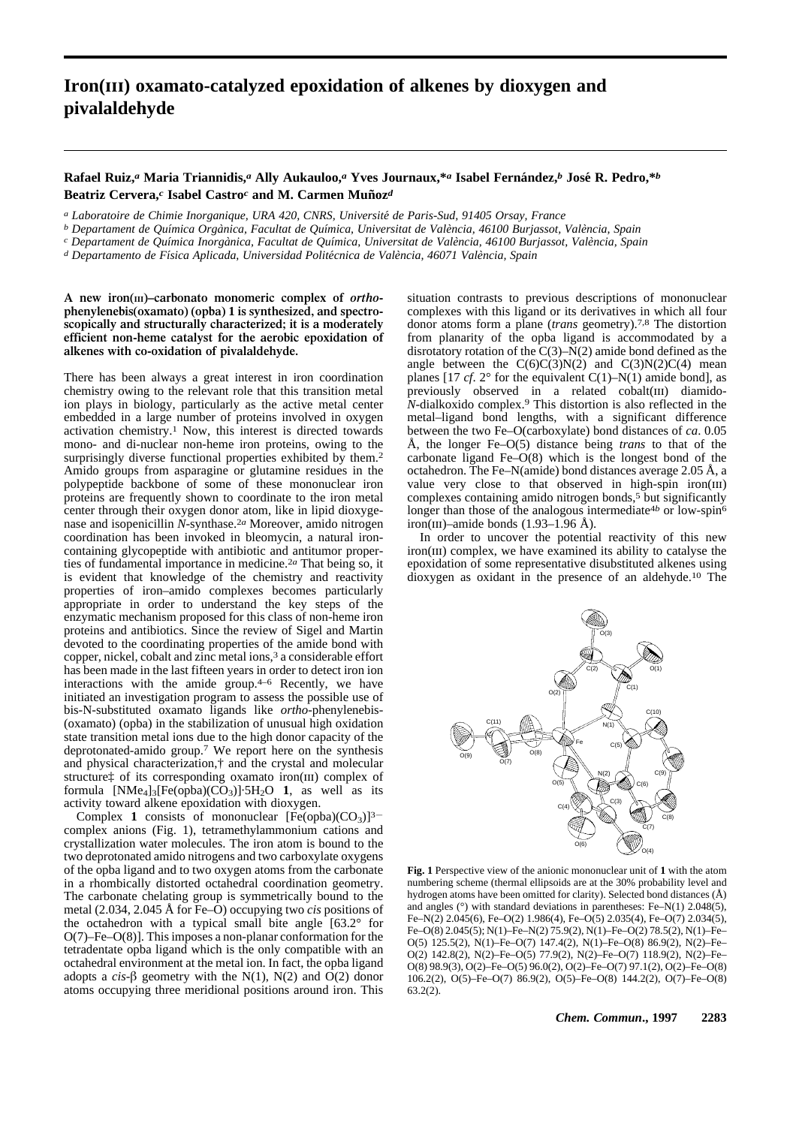## **Iron(iii) oxamato-catalyzed epoxidation of alkenes by dioxygen and pivalaldehyde**

## **Rafael Ruiz,***a* **Maria Triannidis,***a* **Ally Aukauloo,***a* **Yves Journaux,\****a* **Isabel Fernandez, ´** *b* **Jose R. Pedro,\* ´** *b* Beatriz Cervera,<sup>*c*</sup> Isabel Castro<sup>*c*</sup> and M. Carmen Muñoz<sup>*d*</sup>

*a Laboratoire de Chimie Inorganique, URA 420, CNRS, Universite de Paris-Sud, 91405 Orsay, France ´*

*b Departament de Qu´ımica Organica, Facultat de Qu ` ´ımica, Universitat de Valencia, 46100 Burjassot, Val ` encia, Spain `*

*c Departament de Qu´ımica Inorganica, Facultat de Qu ` ´ımica, Universitat de Valencia, 46100 Burjassot, Val ` encia, Spain `*

*d Departamento de F´ısica Aplicada, Universidad Politecnica de Val ´ encia, 46071 Val ` encia, Spain `*

**A new iron(III)–carbonato monomeric complex of** *ortho***phenylenebis(oxamato) (opba) 1 is synthesized, and spectroscopically and structurally characterized; it is a moderately efficient non-heme catalyst for the aerobic epoxidation of alkenes with co-oxidation of pivalaldehyde.**

There has been always a great interest in iron coordination chemistry owing to the relevant role that this transition metal ion plays in biology, particularly as the active metal center embedded in a large number of proteins involved in oxygen activation chemistry.1 Now, this interest is directed towards mono- and di-nuclear non-heme iron proteins, owing to the surprisingly diverse functional properties exhibited by them.<sup>2</sup> Amido groups from asparagine or glutamine residues in the polypeptide backbone of some of these mononuclear iron proteins are frequently shown to coordinate to the iron metal center through their oxygen donor atom, like in lipid dioxygenase and isopenicillin *N*-synthase.2*a* Moreover, amido nitrogen coordination has been invoked in bleomycin, a natural ironcontaining glycopeptide with antibiotic and antitumor properties of fundamental importance in medicine.2*a* That being so, it is evident that knowledge of the chemistry and reactivity properties of iron–amido complexes becomes particularly appropriate in order to understand the key steps of the enzymatic mechanism proposed for this class of non-heme iron proteins and antibiotics. Since the review of Sigel and Martin devoted to the coordinating properties of the amide bond with copper, nickel, cobalt and zinc metal ions,<sup>3</sup> a considerable effort has been made in the last fifteen years in order to detect iron ion interactions with the amide group.4–6 Recently, we have initiated an investigation program to assess the possible use of bis-N-substituted oxamato ligands like *ortho*-phenylenebis- (oxamato) (opba) in the stabilization of unusual high oxidation state transition metal ions due to the high donor capacity of the deprotonated-amido group.7 We report here on the synthesis and physical characterization,† and the crystal and molecular structure<sup>†</sup> of its corresponding oxamato iron(III) complex of formula  $[NMe<sub>4</sub>]_{3} [Fe(opba)(CO<sub>3</sub>)] \cdot 5H<sub>2</sub>O$  **1**, as well as its activity toward alkene epoxidation with dioxygen.

Complex 1 consists of mononuclear  $[Fe(\text{opba})(CO_3)]^{3-}$ complex anions (Fig. 1), tetramethylammonium cations and crystallization water molecules. The iron atom is bound to the two deprotonated amido nitrogens and two carboxylate oxygens of the opba ligand and to two oxygen atoms from the carbonate in a rhombically distorted octahedral coordination geometry. The carbonate chelating group is symmetrically bound to the metal (2.034, 2.045 Å for Fe–O) occupying two *cis* positions of the octahedron with a typical small bite angle [63.2° for O(7)–Fe–O(8)]. This imposes a non-planar conformation for the tetradentate opba ligand which is the only compatible with an octahedral environment at the metal ion. In fact, the opba ligand adopts a  $cis$ - $\beta$  geometry with the N(1), N(2) and  $\hat{O}(2)$  donor atoms occupying three meridional positions around iron. This

situation contrasts to previous descriptions of mononuclear complexes with this ligand or its derivatives in which all four donor atoms form a plane (*trans* geometry).7,8 The distortion from planarity of the opba ligand is accommodated by a disrotatory rotation of the C(3)–N(2) amide bond defined as the angle between the  $C(6)C(3)N(2)$  and  $C(3)N(2)C(4)$  mean planes  $[17 cf. 2^\circ$  for the equivalent  $C(1)$ –N(1) amide bond], as previously observed in a related cobalt(III) diamido-*N*-dialkoxido complex.9 This distortion is also reflected in the metal–ligand bond lengths, with a significant difference between the two Fe–O(carboxylate) bond distances of *ca*. 0.05 Å, the longer Fe–O(5) distance being *trans* to that of the carbonate ligand Fe–O(8) which is the longest bond of the octahedron. The Fe–N(amide) bond distances average 2.05 Å, a value very close to that observed in high-spin iron $(III)$ complexes containing amido nitrogen bonds,<sup>5</sup> but significantly longer than those of the analogous intermediate<sup>4b</sup> or low-spin<sup>6</sup> iron(III)–amide bonds  $(1.93-1.96 \text{ Å})$ .

In order to uncover the potential reactivity of this new iron(III) complex, we have examined its ability to catalyse the epoxidation of some representative disubstituted alkenes using dioxygen as oxidant in the presence of an aldehyde.10 The



**Fig. 1** Perspective view of the anionic mononuclear unit of **1** with the atom numbering scheme (thermal ellipsoids are at the 30% probability level and hydrogen atoms have been omitted for clarity). Selected bond distances (Å) and angles (°) with standard deviations in parentheses: Fe–N(1) 2.048(5), Fe–N(2) 2.045(6), Fe–O(2) 1.986(4), Fe–O(5) 2.035(4), Fe–O(7) 2.034(5), Fe–O(8) 2.045(5); N(1)–Fe–N(2) 75.9(2), N(1)–Fe–O(2) 78.5(2), N(1)–Fe– O(5) 125.5(2), N(1)–Fe–O(7) 147.4(2), N(1)–Fe–O(8) 86.9(2), N(2)–Fe– O(2) 142.8(2), N(2)–Fe–O(5) 77.9(2), N(2)–Fe–O(7) 118.9(2), N(2)–Fe– O(8) 98.9(3), O(2)–Fe–O(5) 96.0(2), O(2)–Fe–O(7) 97.1(2), O(2)–Fe–O(8) 106.2(2), O(5)–Fe–O(7) 86.9(2), O(5)–Fe–O(8) 144.2(2), O(7)–Fe–O(8)  $63.2(2)$ .

*Chem. Commun***., 1997 2283**